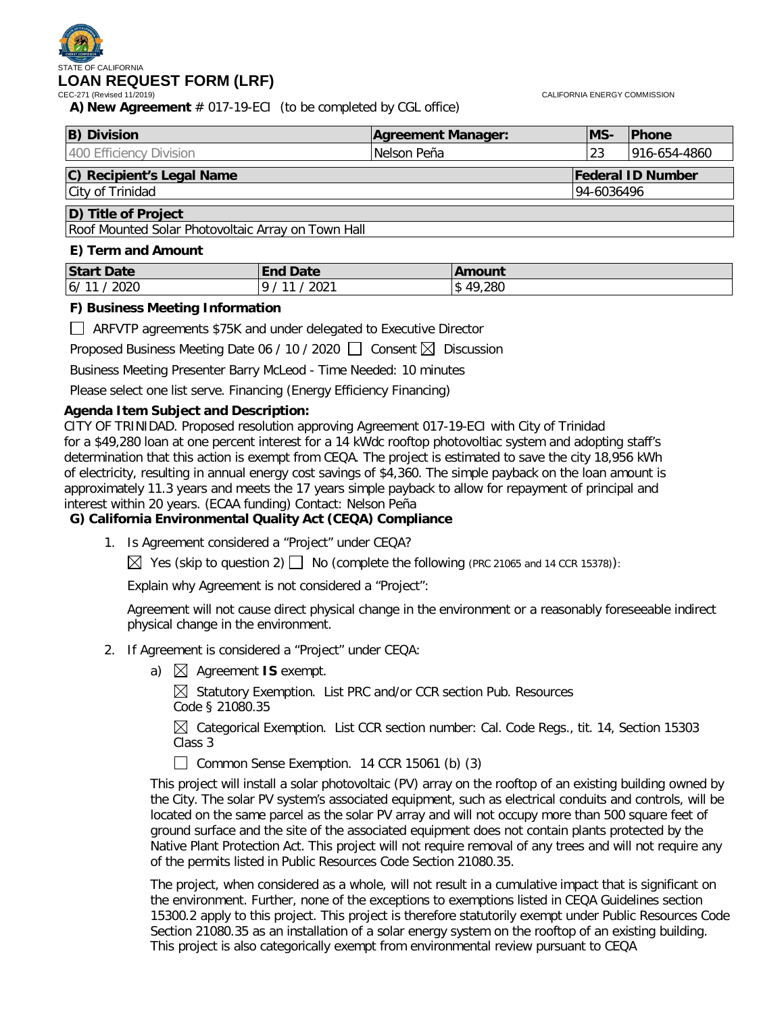# STATE OF CALIFORNIA **LOAN REQUEST FORM (LRF)**

CALIFORNIA ENERGY COMMISSION

**A) New Agreement** # 017-19-ECI (to be completed by CGL office)

| <b>B</b> ) Division                                   | Agreement Manager: | IMS-       | <b>IPhone</b> |
|-------------------------------------------------------|--------------------|------------|---------------|
| 1400 Efficiency Division                              | Nelson Peña        | 23         | 1916-654-4860 |
| C) Recipient's Legal Name<br><b>Federal ID Number</b> |                    |            |               |
| City of Trinidad                                      |                    | 94-6036496 |               |

# **D) Title of Project**

Roof Mounted Solar Photovoltaic Array on Town Hall

#### **E) Term and Amount**

| <b>Start Date</b> | Date<br><b>End</b> | <b>\mount</b> |
|-------------------|--------------------|---------------|
| 6/11<br>2020      | 2021<br>a<br>11    | 49,280<br>l\$ |

#### **F) Business Meeting Information**

ARFVTP agreements \$75K and under delegated to Executive Director

Proposed Business Meeting Date 06 / 10 / 2020  $\Box$  Consent  $\boxtimes$  Discussion

Business Meeting Presenter Barry McLeod - Time Needed: 10 minutes

Please select one list serve. Financing (Energy Efficiency Financing)

#### **Agenda Item Subject and Description:**

CITY OF TRINIDAD. Proposed resolution approving Agreement 017-19-ECI with City of Trinidad for a \$49,280 loan at one percent interest for a 14 kWdc rooftop photovoltiac system and adopting staff's determination that this action is exempt from CEQA. The project is estimated to save the city 18,956 kWh of electricity, resulting in annual energy cost savings of \$4,360. The simple payback on the loan amount is approximately 11.3 years and meets the 17 years simple payback to allow for repayment of principal and interest within 20 years. (ECAA funding) Contact: Nelson Peña

#### **G) California Environmental Quality Act (CEQA) Compliance**

1. Is Agreement considered a "Project" under CEQA?

 $\boxtimes$  Yes (skip to question 2)  $\Box$  No (complete the following (PRC 21065 and 14 CCR 15378)):

Explain why Agreement is not considered a "Project":

Agreement will not cause direct physical change in the environment or a reasonably foreseeable indirect physical change in the environment.

- 2. If Agreement is considered a "Project" under CEQA:
	- a)  $\boxtimes$  Agreement **IS** exempt.

 $\boxtimes$  Statutory Exemption. List PRC and/or CCR section Pub. Resources Code § 21080.35

 $\boxtimes$  Categorical Exemption. List CCR section number: Cal. Code Regs., tit. 14, Section 15303 Class 3

Common Sense Exemption. 14 CCR 15061 (b)  $(3)$ 

This project will install a solar photovoltaic (PV) array on the rooftop of an existing building owned by the City. The solar PV system's associated equipment, such as electrical conduits and controls, will be located on the same parcel as the solar PV array and will not occupy more than 500 square feet of ground surface and the site of the associated equipment does not contain plants protected by the Native Plant Protection Act. This project will not require removal of any trees and will not require any of the permits listed in Public Resources Code Section 21080.35.

The project, when considered as a whole, will not result in a cumulative impact that is significant on the environment. Further, none of the exceptions to exemptions listed in CEQA Guidelines section 15300.2 apply to this project. This project is therefore statutorily exempt under Public Resources Code Section 21080.35 as an installation of a solar energy system on the rooftop of an existing building. This project is also categorically exempt from environmental review pursuant to CEQA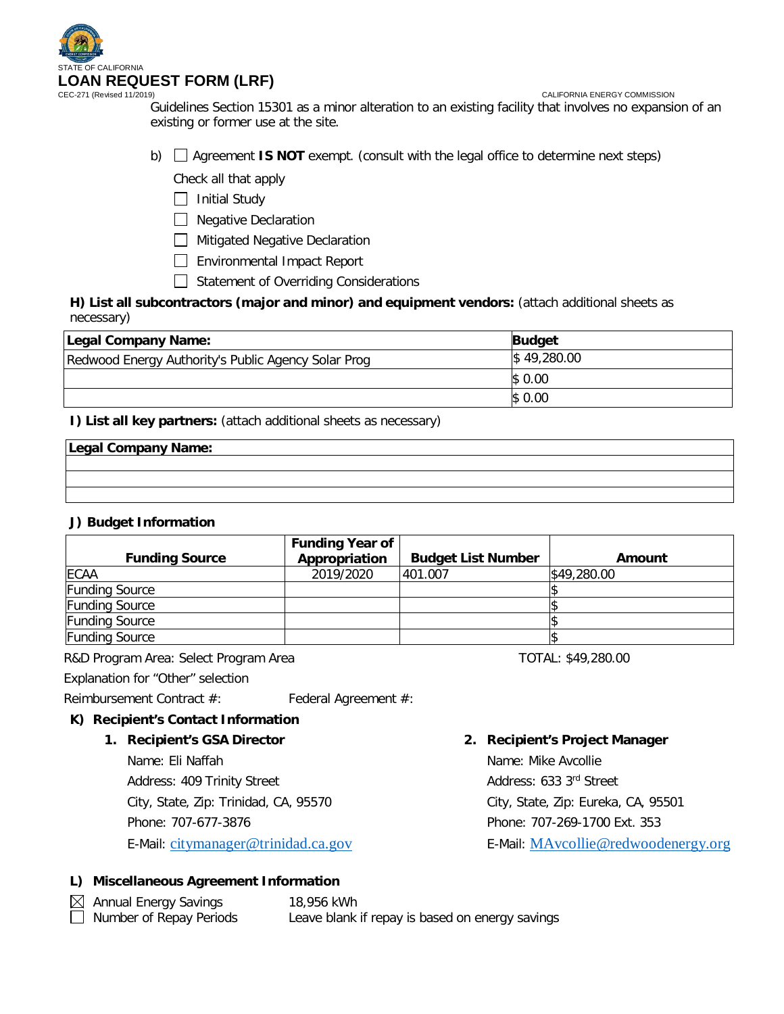

CALIFORNIA ENERGY COMMISSION

Guidelines Section 15301 as a minor alteration to an existing facility that involves no expansion of an existing or former use at the site.

b)  $\Box$  Agreement **IS NOT** exempt. (consult with the legal office to determine next steps)

Check all that apply

 $\Box$  Initial Study

□ Negative Declaration

**Mitigated Negative Declaration** 

- Environmental Impact Report
- Statement of Overriding Considerations

**H) List all subcontractors (major and minor) and equipment vendors:** (attach additional sheets as necessary)

| Legal Company Name:                                 | <b>Budget</b> |
|-----------------------------------------------------|---------------|
| Redwood Energy Authority's Public Agency Solar Prog | \$49,280.00   |
|                                                     | \$0.00        |
|                                                     | \$0.00        |

**I) List all key partners:** (attach additional sheets as necessary)

### **Legal Company Name:**

# **J) Budget Information**

| <b>Funding Source</b> | <b>Funding Year of</b><br>Appropriation | <b>Budget List Number</b> | Amount      |
|-----------------------|-----------------------------------------|---------------------------|-------------|
| <b>ECAA</b>           | 2019/2020                               | 401.007                   | \$49,280.00 |
| <b>Funding Source</b> |                                         |                           |             |
| <b>Funding Source</b> |                                         |                           |             |
| <b>Funding Source</b> |                                         |                           |             |
| <b>Funding Source</b> |                                         |                           |             |

R&D Program Area: Select Program Area TOTAL: \$49,280.00

Explanation for "Other" selection

Reimbursement Contract #: Federal Agreement #:

#### **K) Recipient's Contact Information**

#### **1. Recipient's GSA Director**

Name: Eli Naffah

Address: 409 Trinity Street

City, State, Zip: Trinidad, CA, 95570

Phone: 707-677-3876

E-Mail: [citymanager@trinidad.ca.gov](mailto:citymanager@trinidad.ca.gov)

#### **2. Recipient's Project Manager**

Name: Mike Avcollie Address: 633 3rd Street City, State, Zip: Eureka, CA, 95501 Phone: 707-269-1700 Ext. 353 E-Mail: [MAvcollie@redwoodenergy.org](mailto:MAvcollie@redwoodenergy.org)

#### **L) Miscellaneous Agreement Information**

 Annual Energy Savings 18,956 kWh Leave blank if repay is based on energy savings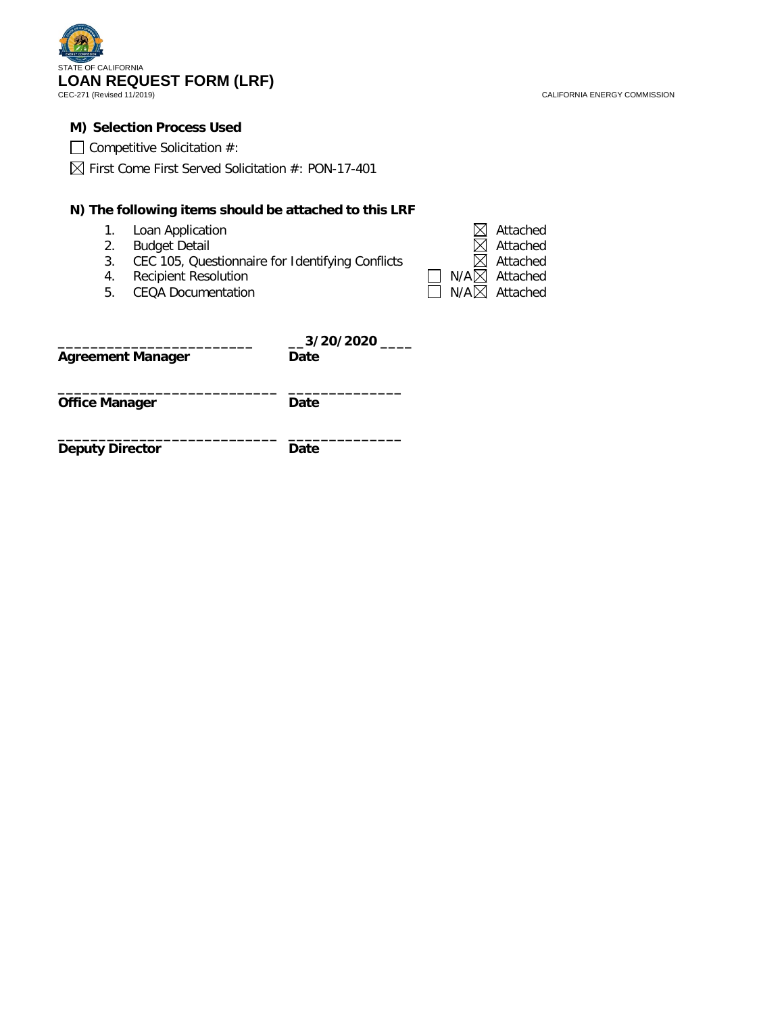

CALIFORNIA ENERGY COMMISSION

#### **M) Selection Process Used**

| $\Box$ Competitive Solicitation #: |  |
|------------------------------------|--|
|------------------------------------|--|

 $\boxtimes$  First Come First Served Solicitation #: PON-17-401

#### **N) The following items should be attached to this LRF**

- 
- 2. Budget Detail<br>3. CEC 105, Que
- 3. CEC 105, Questionnaire for Identifying Conflicts<br>4. Recipient Resolution
- 4. Recipient Resolution<br>5. CEQA Documentation
- **CEQA Documentation**

| 1. Loan Application                                 | $\boxtimes$ Attached            |
|-----------------------------------------------------|---------------------------------|
| 2. Budget Detail                                    | $\boxtimes$ Attached            |
| 3. CEC 105, Questionnaire for Identifying Conflicts | $\boxtimes$ Attached            |
| 4. Recipient Resolution                             | $\Box$ N/A $\boxtimes$ Attached |
| 5. CEQA Documentation                               | $\Box$ N/A $\boxtimes$ Attached |

| <b>Agreement Manager</b> | __3/20/2020<br>Date |
|--------------------------|---------------------|
| <b>Office Manager</b>    | Date                |
| <b>Deputy Director</b>   | Date                |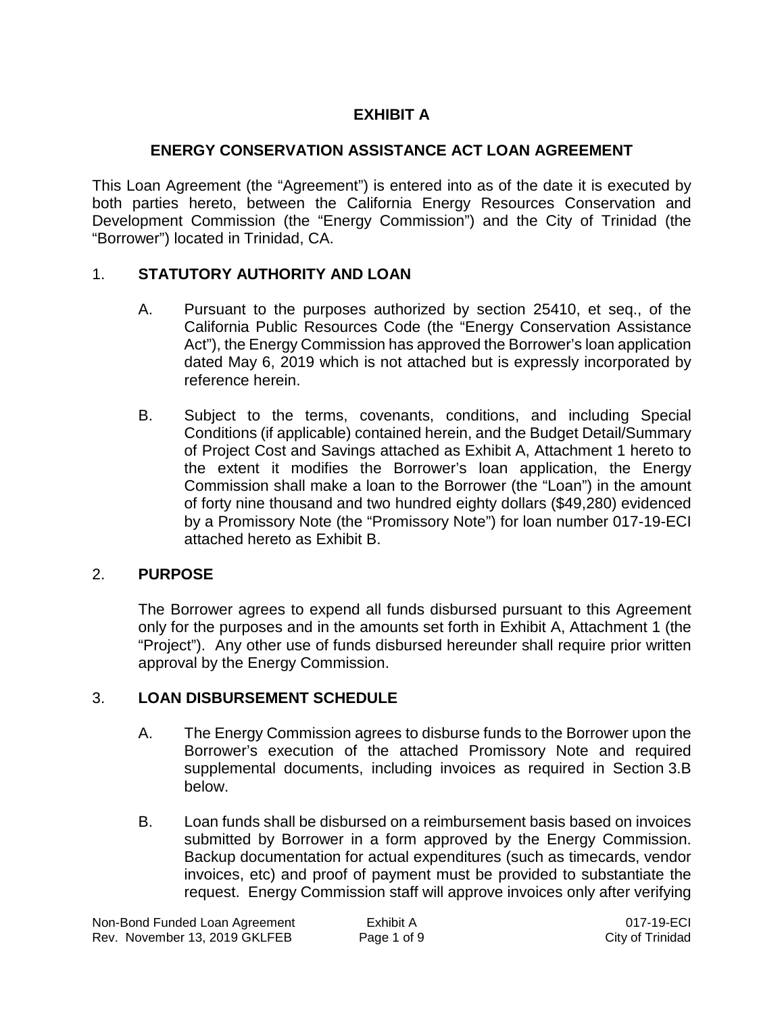# **EXHIBIT A**

# **ENERGY CONSERVATION ASSISTANCE ACT LOAN AGREEMENT**

This Loan Agreement (the "Agreement") is entered into as of the date it is executed by both parties hereto, between the California Energy Resources Conservation and Development Commission (the "Energy Commission") and the City of Trinidad (the "Borrower") located in Trinidad, CA.

# 1. **STATUTORY AUTHORITY AND LOAN**

- A. Pursuant to the purposes authorized by section 25410, et seq., of the California Public Resources Code (the "Energy Conservation Assistance Act"), the Energy Commission has approved the Borrower's loan application dated May 6, 2019 which is not attached but is expressly incorporated by reference herein.
- B. Subject to the terms, covenants, conditions, and including Special Conditions (if applicable) contained herein, and the Budget Detail/Summary of Project Cost and Savings attached as Exhibit A, Attachment 1 hereto to the extent it modifies the Borrower's loan application, the Energy Commission shall make a loan to the Borrower (the "Loan") in the amount of forty nine thousand and two hundred eighty dollars (\$49,280) evidenced by a Promissory Note (the "Promissory Note") for loan number 017-19-ECI attached hereto as Exhibit B.

# 2. **PURPOSE**

The Borrower agrees to expend all funds disbursed pursuant to this Agreement only for the purposes and in the amounts set forth in Exhibit A, Attachment 1 (the "Project"). Any other use of funds disbursed hereunder shall require prior written approval by the Energy Commission.

# 3. **LOAN DISBURSEMENT SCHEDULE**

- A. The Energy Commission agrees to disburse funds to the Borrower upon the Borrower's execution of the attached Promissory Note and required supplemental documents, including invoices as required in Section 3.B below.
- B. Loan funds shall be disbursed on a reimbursement basis based on invoices submitted by Borrower in a form approved by the Energy Commission. Backup documentation for actual expenditures (such as timecards, vendor invoices, etc) and proof of payment must be provided to substantiate the request. Energy Commission staff will approve invoices only after verifying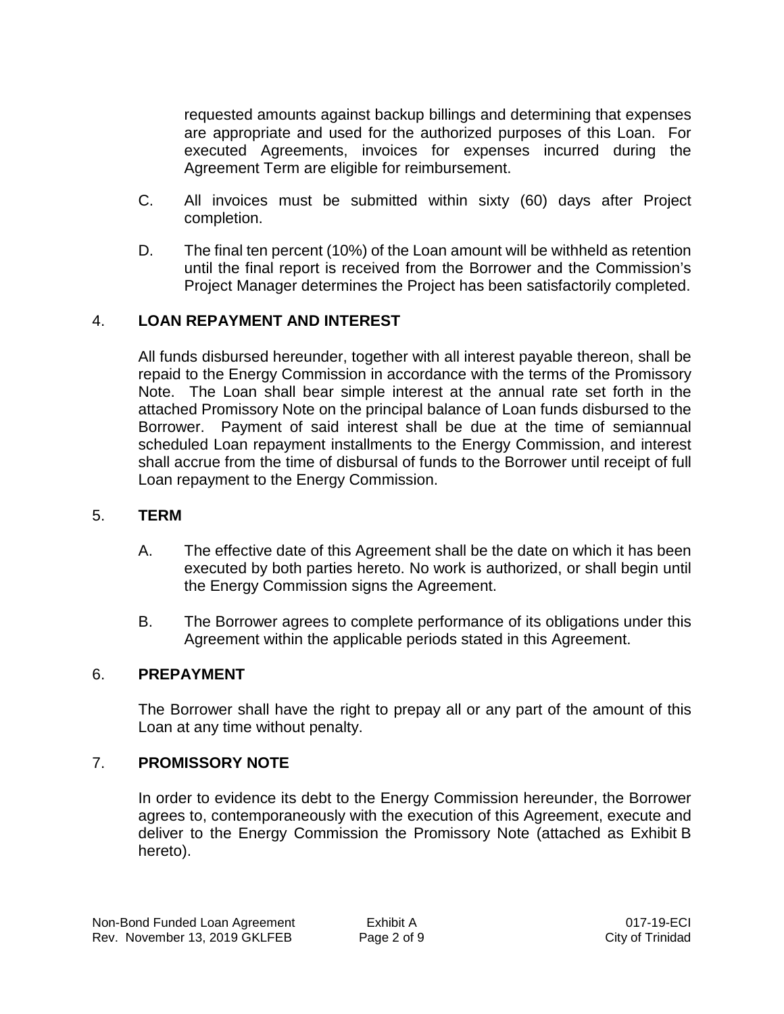requested amounts against backup billings and determining that expenses are appropriate and used for the authorized purposes of this Loan. For executed Agreements, invoices for expenses incurred during the Agreement Term are eligible for reimbursement.

- C. All invoices must be submitted within sixty (60) days after Project completion.
- D. The final ten percent (10%) of the Loan amount will be withheld as retention until the final report is received from the Borrower and the Commission's Project Manager determines the Project has been satisfactorily completed.

# 4. **LOAN REPAYMENT AND INTEREST**

All funds disbursed hereunder, together with all interest payable thereon, shall be repaid to the Energy Commission in accordance with the terms of the Promissory Note. The Loan shall bear simple interest at the annual rate set forth in the attached Promissory Note on the principal balance of Loan funds disbursed to the Borrower. Payment of said interest shall be due at the time of semiannual scheduled Loan repayment installments to the Energy Commission, and interest shall accrue from the time of disbursal of funds to the Borrower until receipt of full Loan repayment to the Energy Commission.

## 5. **TERM**

- A. The effective date of this Agreement shall be the date on which it has been executed by both parties hereto. No work is authorized, or shall begin until the Energy Commission signs the Agreement.
- B. The Borrower agrees to complete performance of its obligations under this Agreement within the applicable periods stated in this Agreement.

## 6. **PREPAYMENT**

The Borrower shall have the right to prepay all or any part of the amount of this Loan at any time without penalty.

## 7. **PROMISSORY NOTE**

In order to evidence its debt to the Energy Commission hereunder, the Borrower agrees to, contemporaneously with the execution of this Agreement, execute and deliver to the Energy Commission the Promissory Note (attached as Exhibit B hereto).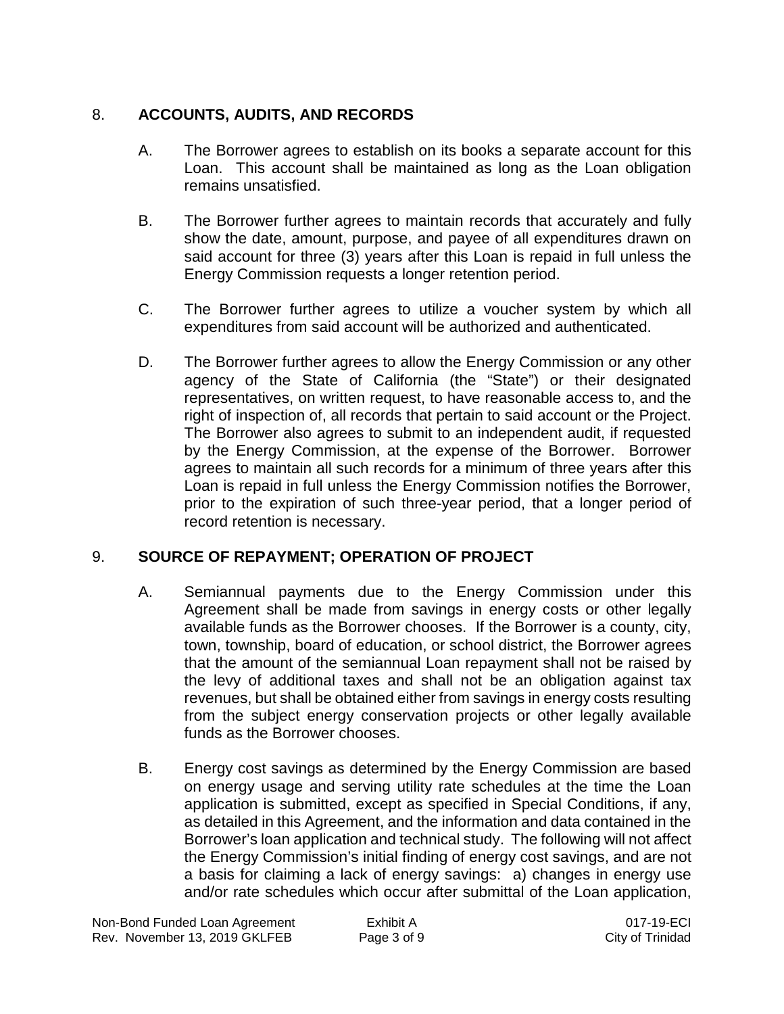# 8. **ACCOUNTS, AUDITS, AND RECORDS**

- A. The Borrower agrees to establish on its books a separate account for this Loan. This account shall be maintained as long as the Loan obligation remains unsatisfied.
- B. The Borrower further agrees to maintain records that accurately and fully show the date, amount, purpose, and payee of all expenditures drawn on said account for three (3) years after this Loan is repaid in full unless the Energy Commission requests a longer retention period.
- C. The Borrower further agrees to utilize a voucher system by which all expenditures from said account will be authorized and authenticated.
- D. The Borrower further agrees to allow the Energy Commission or any other agency of the State of California (the "State") or their designated representatives, on written request, to have reasonable access to, and the right of inspection of, all records that pertain to said account or the Project. The Borrower also agrees to submit to an independent audit, if requested by the Energy Commission, at the expense of the Borrower. Borrower agrees to maintain all such records for a minimum of three years after this Loan is repaid in full unless the Energy Commission notifies the Borrower, prior to the expiration of such three-year period, that a longer period of record retention is necessary.

# 9. **SOURCE OF REPAYMENT; OPERATION OF PROJECT**

- A. Semiannual payments due to the Energy Commission under this Agreement shall be made from savings in energy costs or other legally available funds as the Borrower chooses. If the Borrower is a county, city, town, township, board of education, or school district, the Borrower agrees that the amount of the semiannual Loan repayment shall not be raised by the levy of additional taxes and shall not be an obligation against tax revenues, but shall be obtained either from savings in energy costs resulting from the subject energy conservation projects or other legally available funds as the Borrower chooses.
- B. Energy cost savings as determined by the Energy Commission are based on energy usage and serving utility rate schedules at the time the Loan application is submitted, except as specified in Special Conditions, if any, as detailed in this Agreement, and the information and data contained in the Borrower's loan application and technical study. The following will not affect the Energy Commission's initial finding of energy cost savings, and are not a basis for claiming a lack of energy savings: a) changes in energy use and/or rate schedules which occur after submittal of the Loan application,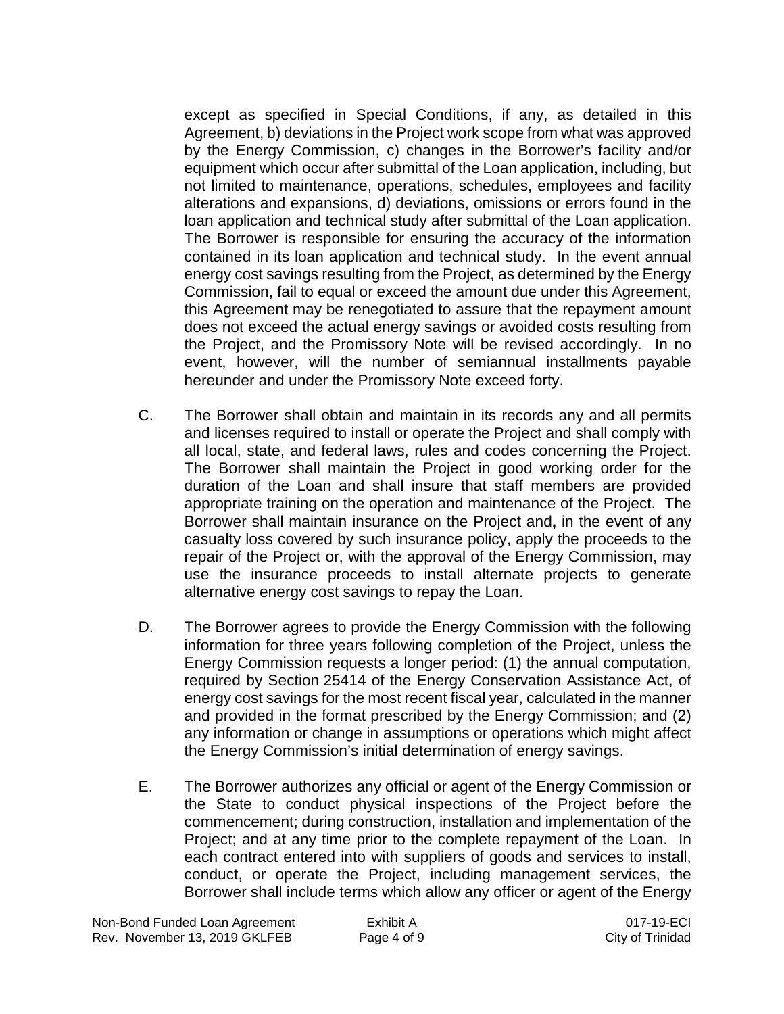except as specified in Special Conditions, if any, as detailed in this Agreement, b) deviations in the Project work scope from what was approved by the Energy Commission, c) changes in the Borrower's facility and/or equipment which occur after submittal of the Loan application, including, but not limited to maintenance, operations, schedules, employees and facility alterations and expansions, d) deviations, omissions or errors found in the loan application and technical study after submittal of the Loan application. The Borrower is responsible for ensuring the accuracy of the information contained in its loan application and technical study. In the event annual energy cost savings resulting from the Project, as determined by the Energy Commission, fail to equal or exceed the amount due under this Agreement, this Agreement may be renegotiated to assure that the repayment amount does not exceed the actual energy savings or avoided costs resulting from the Project, and the Promissory Note will be revised accordingly. In no event, however, will the number of semiannual installments payable hereunder and under the Promissory Note exceed forty.

- C. The Borrower shall obtain and maintain in its records any and all permits and licenses required to install or operate the Project and shall comply with all local, state, and federal laws, rules and codes concerning the Project. The Borrower shall maintain the Project in good working order for the duration of the Loan and shall insure that staff members are provided appropriate training on the operation and maintenance of the Project. The Borrower shall maintain insurance on the Project and**,** in the event of any casualty loss covered by such insurance policy, apply the proceeds to the repair of the Project or, with the approval of the Energy Commission, may use the insurance proceeds to install alternate projects to generate alternative energy cost savings to repay the Loan.
- D. The Borrower agrees to provide the Energy Commission with the following information for three years following completion of the Project, unless the Energy Commission requests a longer period: (1) the annual computation, required by Section 25414 of the Energy Conservation Assistance Act, of energy cost savings for the most recent fiscal year, calculated in the manner and provided in the format prescribed by the Energy Commission; and (2) any information or change in assumptions or operations which might affect the Energy Commission's initial determination of energy savings.
- E. The Borrower authorizes any official or agent of the Energy Commission or the State to conduct physical inspections of the Project before the commencement; during construction, installation and implementation of the Project; and at any time prior to the complete repayment of the Loan. In each contract entered into with suppliers of goods and services to install, conduct, or operate the Project, including management services, the Borrower shall include terms which allow any officer or agent of the Energy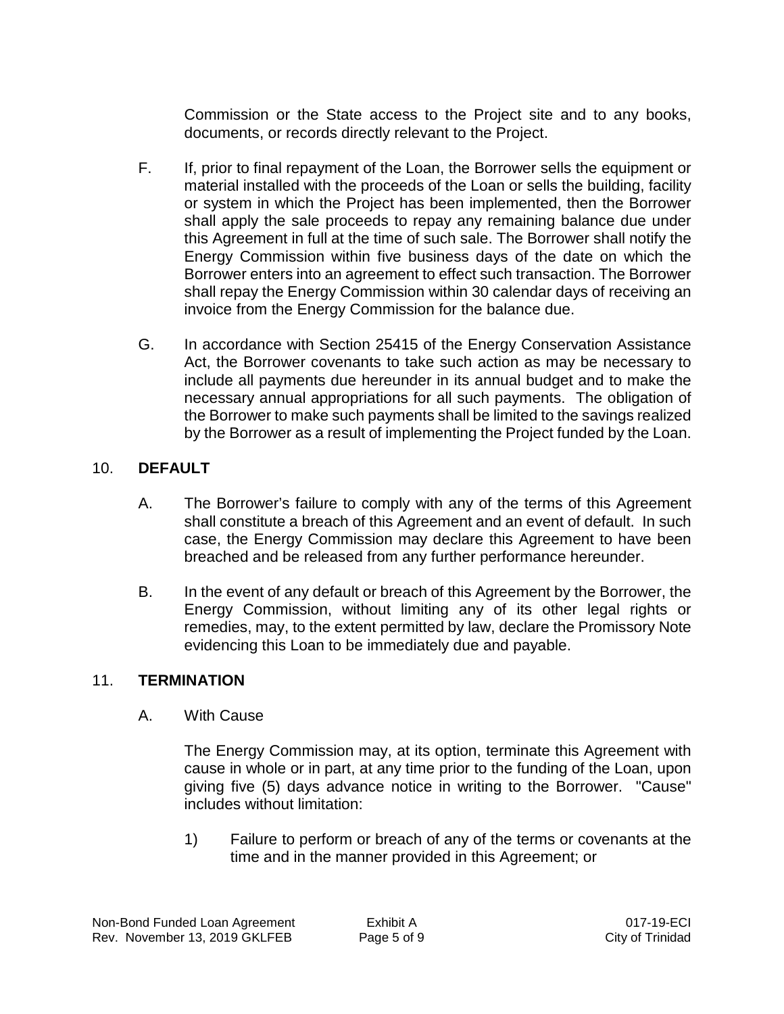Commission or the State access to the Project site and to any books, documents, or records directly relevant to the Project.

- F. If, prior to final repayment of the Loan, the Borrower sells the equipment or material installed with the proceeds of the Loan or sells the building, facility or system in which the Project has been implemented, then the Borrower shall apply the sale proceeds to repay any remaining balance due under this Agreement in full at the time of such sale. The Borrower shall notify the Energy Commission within five business days of the date on which the Borrower enters into an agreement to effect such transaction. The Borrower shall repay the Energy Commission within 30 calendar days of receiving an invoice from the Energy Commission for the balance due.
- G. In accordance with Section 25415 of the Energy Conservation Assistance Act, the Borrower covenants to take such action as may be necessary to include all payments due hereunder in its annual budget and to make the necessary annual appropriations for all such payments. The obligation of the Borrower to make such payments shall be limited to the savings realized by the Borrower as a result of implementing the Project funded by the Loan.

# 10. **DEFAULT**

- A. The Borrower's failure to comply with any of the terms of this Agreement shall constitute a breach of this Agreement and an event of default. In such case, the Energy Commission may declare this Agreement to have been breached and be released from any further performance hereunder.
- B. In the event of any default or breach of this Agreement by the Borrower, the Energy Commission, without limiting any of its other legal rights or remedies, may, to the extent permitted by law, declare the Promissory Note evidencing this Loan to be immediately due and payable.

# 11. **TERMINATION**

A. With Cause

The Energy Commission may, at its option, terminate this Agreement with cause in whole or in part, at any time prior to the funding of the Loan, upon giving five (5) days advance notice in writing to the Borrower. "Cause" includes without limitation:

1) Failure to perform or breach of any of the terms or covenants at the time and in the manner provided in this Agreement; or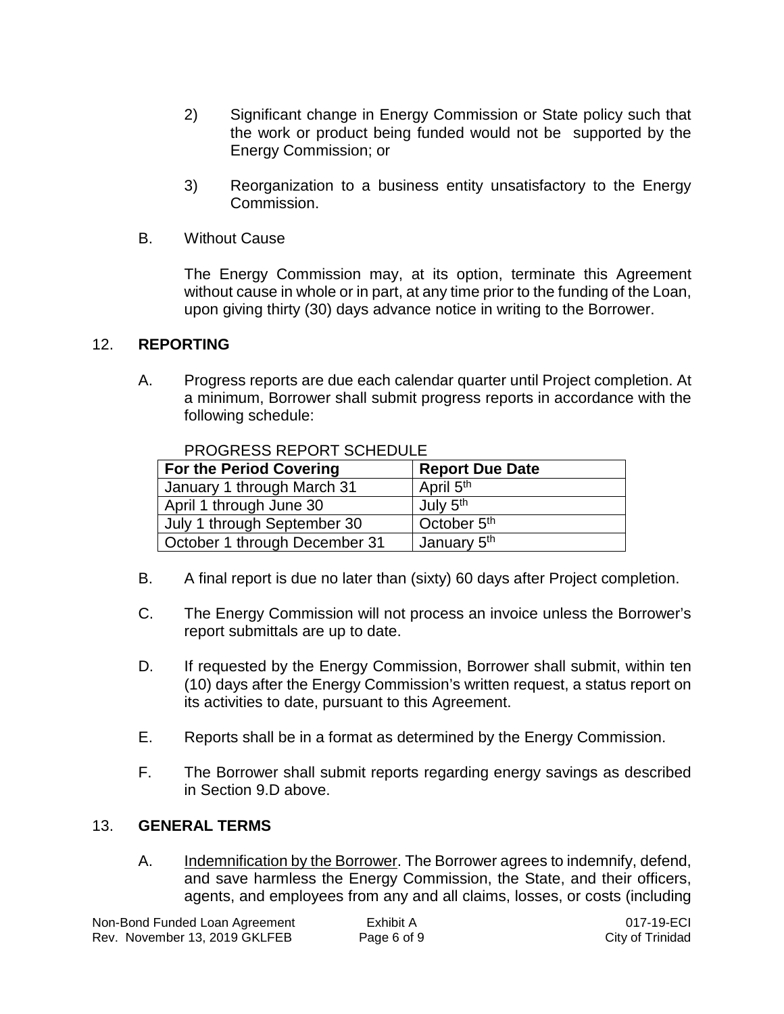- 2) Significant change in Energy Commission or State policy such that the work or product being funded would not be supported by the Energy Commission; or
- 3) Reorganization to a business entity unsatisfactory to the Energy Commission.
- B. Without Cause

The Energy Commission may, at its option, terminate this Agreement without cause in whole or in part, at any time prior to the funding of the Loan, upon giving thirty (30) days advance notice in writing to the Borrower.

## 12. **REPORTING**

A. Progress reports are due each calendar quarter until Project completion. At a minimum, Borrower shall submit progress reports in accordance with the following schedule:

| <b>For the Period Covering</b> | <b>Report Due Date</b>  |
|--------------------------------|-------------------------|
| January 1 through March 31     | April 5 <sup>th</sup>   |
| April 1 through June 30        | July 5 <sup>th</sup>    |
| July 1 through September 30    | October 5 <sup>th</sup> |
| October 1 through December 31  | January 5 <sup>th</sup> |

PROGRESS REPORT SCHEDULE

- B. A final report is due no later than (sixty) 60 days after Project completion.
- C. The Energy Commission will not process an invoice unless the Borrower's report submittals are up to date.
- D. If requested by the Energy Commission, Borrower shall submit, within ten (10) days after the Energy Commission's written request, a status report on its activities to date, pursuant to this Agreement.
- E. Reports shall be in a format as determined by the Energy Commission.
- F. The Borrower shall submit reports regarding energy savings as described in Section 9.D above.

## 13. **GENERAL TERMS**

A. Indemnification by the Borrower. The Borrower agrees to indemnify, defend, and save harmless the Energy Commission, the State, and their officers, agents, and employees from any and all claims, losses, or costs (including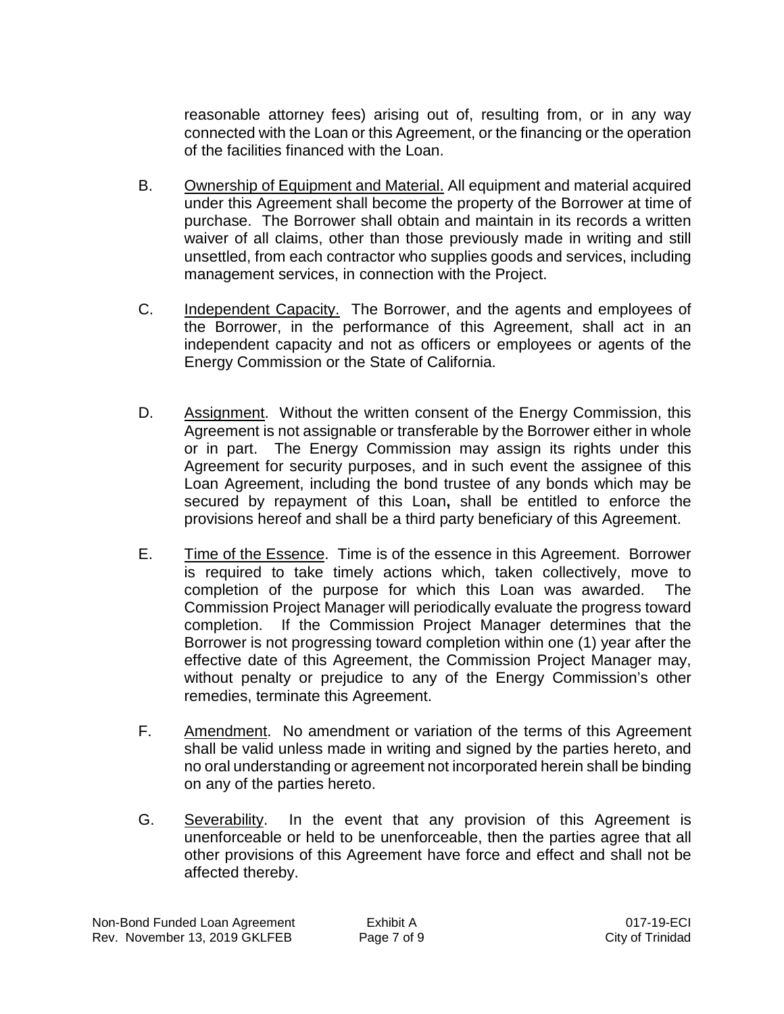reasonable attorney fees) arising out of, resulting from, or in any way connected with the Loan or this Agreement, or the financing or the operation of the facilities financed with the Loan.

- B. Ownership of Equipment and Material. All equipment and material acquired under this Agreement shall become the property of the Borrower at time of purchase. The Borrower shall obtain and maintain in its records a written waiver of all claims, other than those previously made in writing and still unsettled, from each contractor who supplies goods and services, including management services, in connection with the Project.
- C. Independent Capacity. The Borrower, and the agents and employees of the Borrower, in the performance of this Agreement, shall act in an independent capacity and not as officers or employees or agents of the Energy Commission or the State of California.
- D. Assignment. Without the written consent of the Energy Commission, this Agreement is not assignable or transferable by the Borrower either in whole or in part. The Energy Commission may assign its rights under this Agreement for security purposes, and in such event the assignee of this Loan Agreement, including the bond trustee of any bonds which may be secured by repayment of this Loan**,** shall be entitled to enforce the provisions hereof and shall be a third party beneficiary of this Agreement.
- E. Time of the Essence. Time is of the essence in this Agreement. Borrower is required to take timely actions which, taken collectively, move to completion of the purpose for which this Loan was awarded. The Commission Project Manager will periodically evaluate the progress toward completion. If the Commission Project Manager determines that the Borrower is not progressing toward completion within one (1) year after the effective date of this Agreement, the Commission Project Manager may, without penalty or prejudice to any of the Energy Commission's other remedies, terminate this Agreement.
- F. Amendment. No amendment or variation of the terms of this Agreement shall be valid unless made in writing and signed by the parties hereto, and no oral understanding or agreement not incorporated herein shall be binding on any of the parties hereto.
- G. Severability. In the event that any provision of this Agreement is unenforceable or held to be unenforceable, then the parties agree that all other provisions of this Agreement have force and effect and shall not be affected thereby.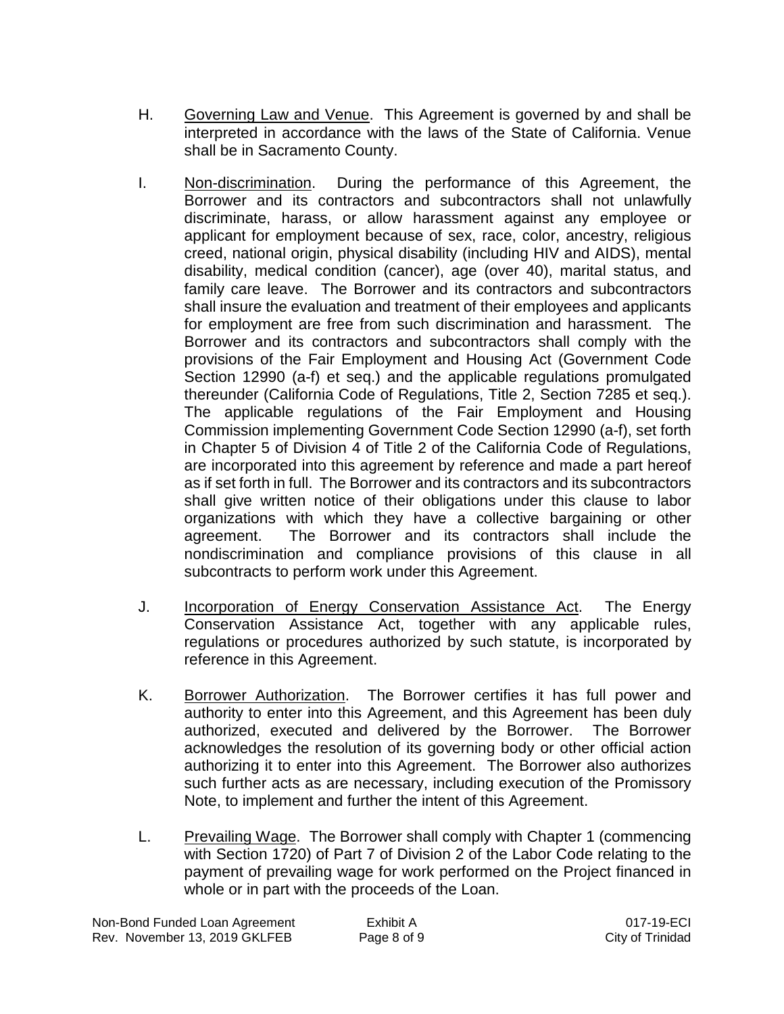- H. Governing Law and Venue. This Agreement is governed by and shall be interpreted in accordance with the laws of the State of California. Venue shall be in Sacramento County.
- I. Non-discrimination. During the performance of this Agreement, the Borrower and its contractors and subcontractors shall not unlawfully discriminate, harass, or allow harassment against any employee or applicant for employment because of sex, race, color, ancestry, religious creed, national origin, physical disability (including HIV and AIDS), mental disability, medical condition (cancer), age (over 40), marital status, and family care leave. The Borrower and its contractors and subcontractors shall insure the evaluation and treatment of their employees and applicants for employment are free from such discrimination and harassment. The Borrower and its contractors and subcontractors shall comply with the provisions of the Fair Employment and Housing Act (Government Code Section 12990 (a-f) et seq.) and the applicable regulations promulgated thereunder (California Code of Regulations, Title 2, Section 7285 et seq.). The applicable regulations of the Fair Employment and Housing Commission implementing Government Code Section 12990 (a-f), set forth in Chapter 5 of Division 4 of Title 2 of the California Code of Regulations, are incorporated into this agreement by reference and made a part hereof as if set forth in full. The Borrower and its contractors and its subcontractors shall give written notice of their obligations under this clause to labor organizations with which they have a collective bargaining or other agreement. The Borrower and its contractors shall include the nondiscrimination and compliance provisions of this clause in all subcontracts to perform work under this Agreement.
- J. Incorporation of Energy Conservation Assistance Act. The Energy Conservation Assistance Act, together with any applicable rules, regulations or procedures authorized by such statute, is incorporated by reference in this Agreement.
- K. Borrower Authorization. The Borrower certifies it has full power and authority to enter into this Agreement, and this Agreement has been duly authorized, executed and delivered by the Borrower. The Borrower acknowledges the resolution of its governing body or other official action authorizing it to enter into this Agreement. The Borrower also authorizes such further acts as are necessary, including execution of the Promissory Note, to implement and further the intent of this Agreement.
- L. Prevailing Wage. The Borrower shall comply with Chapter 1 (commencing with Section 1720) of Part 7 of Division 2 of the Labor Code relating to the payment of prevailing wage for work performed on the Project financed in whole or in part with the proceeds of the Loan.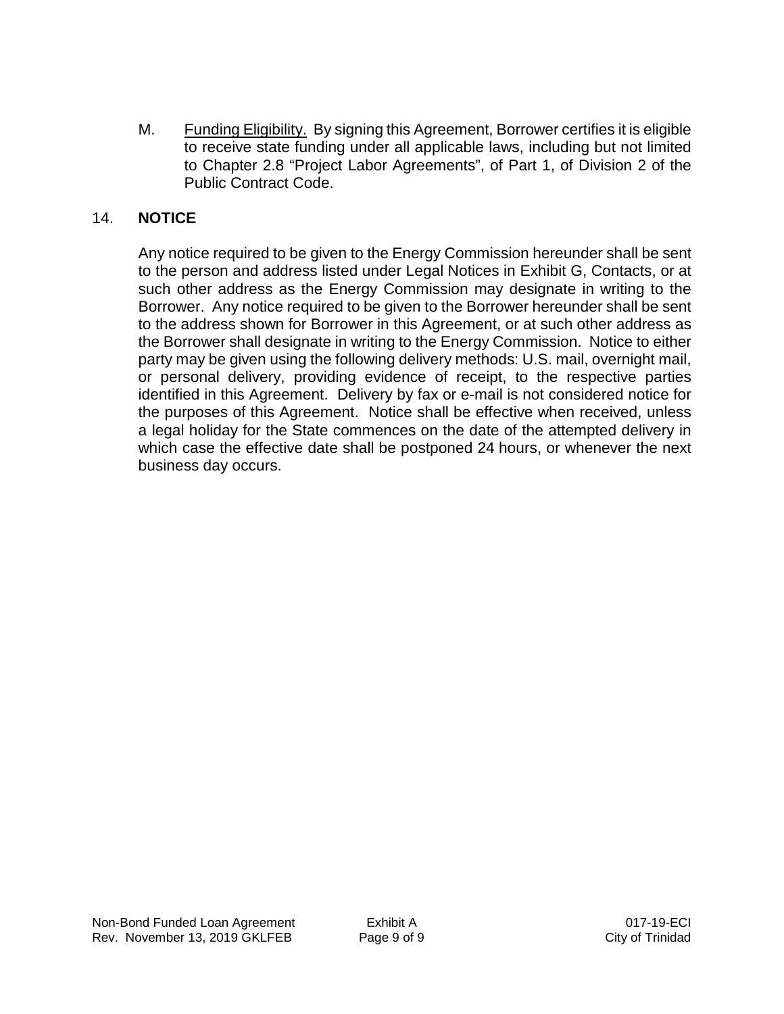M. Funding Eligibility. By signing this Agreement, Borrower certifies it is eligible to receive state funding under all applicable laws, including but not limited to Chapter 2.8 "Project Labor Agreements", of Part 1, of Division 2 of the Public Contract Code.

## 14. **NOTICE**

Any notice required to be given to the Energy Commission hereunder shall be sent to the person and address listed under Legal Notices in Exhibit G, Contacts, or at such other address as the Energy Commission may designate in writing to the Borrower. Any notice required to be given to the Borrower hereunder shall be sent to the address shown for Borrower in this Agreement, or at such other address as the Borrower shall designate in writing to the Energy Commission. Notice to either party may be given using the following delivery methods: U.S. mail, overnight mail, or personal delivery, providing evidence of receipt, to the respective parties identified in this Agreement. Delivery by fax or e-mail is not considered notice for the purposes of this Agreement. Notice shall be effective when received, unless a legal holiday for the State commences on the date of the attempted delivery in which case the effective date shall be postponed 24 hours, or whenever the next business day occurs.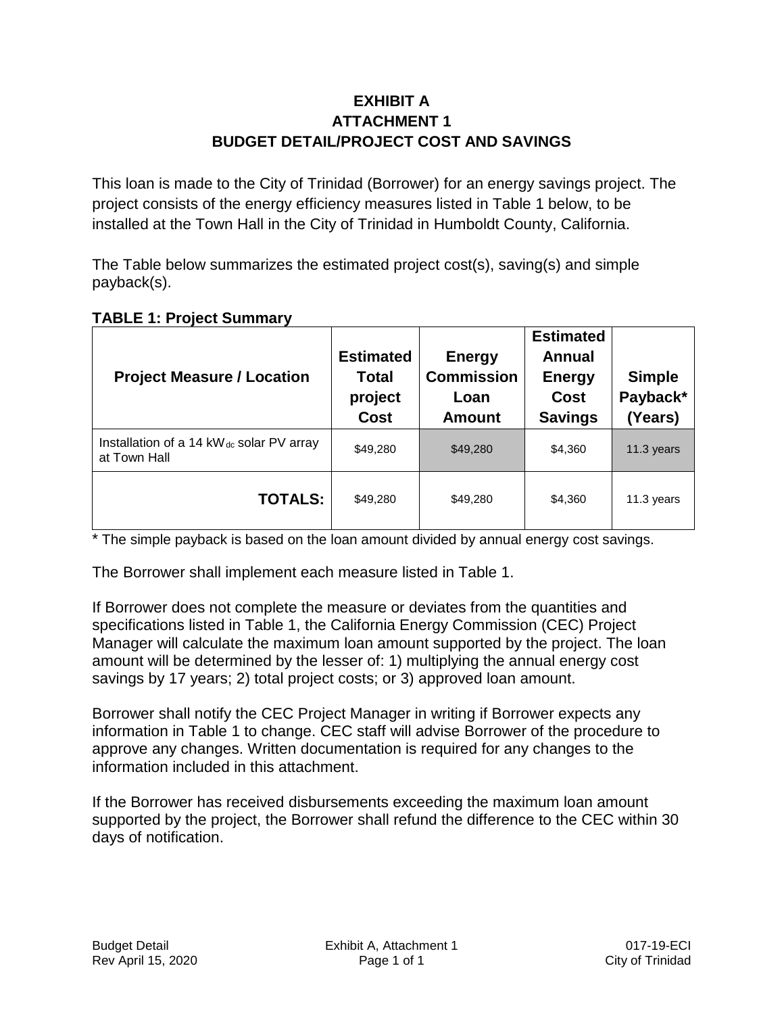# **EXHIBIT A ATTACHMENT 1 BUDGET DETAIL/PROJECT COST AND SAVINGS**

This loan is made to the City of Trinidad (Borrower) for an energy savings project. The project consists of the energy efficiency measures listed in Table 1 below, to be installed at the Town Hall in the City of Trinidad in Humboldt County, California.

The Table below summarizes the estimated project cost(s), saving(s) and simple payback(s).

|  | <b>TABLE 1: Project Summary</b> |
|--|---------------------------------|
|--|---------------------------------|

| <b>Project Measure / Location</b>                                    | <b>Estimated</b><br>Total<br>project<br><b>Cost</b> | <b>Energy</b><br><b>Commission</b><br>Loan<br><b>Amount</b> | <b>Estimated</b><br>Annual<br><b>Energy</b><br>Cost<br><b>Savings</b> | <b>Simple</b><br>Payback*<br>(Years) |
|----------------------------------------------------------------------|-----------------------------------------------------|-------------------------------------------------------------|-----------------------------------------------------------------------|--------------------------------------|
| Installation of a 14 kW <sub>dc</sub> solar PV array<br>at Town Hall | \$49,280                                            | \$49,280                                                    | \$4,360                                                               | 11.3 years                           |
| <b>TOTALS:</b>                                                       | \$49,280                                            | \$49,280                                                    | \$4,360                                                               | 11.3 years                           |

\* The simple payback is based on the loan amount divided by annual energy cost savings.

The Borrower shall implement each measure listed in Table 1.

If Borrower does not complete the measure or deviates from the quantities and specifications listed in Table 1, the California Energy Commission (CEC) Project Manager will calculate the maximum loan amount supported by the project. The loan amount will be determined by the lesser of: 1) multiplying the annual energy cost savings by 17 years; 2) total project costs; or 3) approved loan amount.

Borrower shall notify the CEC Project Manager in writing if Borrower expects any information in Table 1 to change. CEC staff will advise Borrower of the procedure to approve any changes. Written documentation is required for any changes to the information included in this attachment.

If the Borrower has received disbursements exceeding the maximum loan amount supported by the project, the Borrower shall refund the difference to the CEC within 30 days of notification.